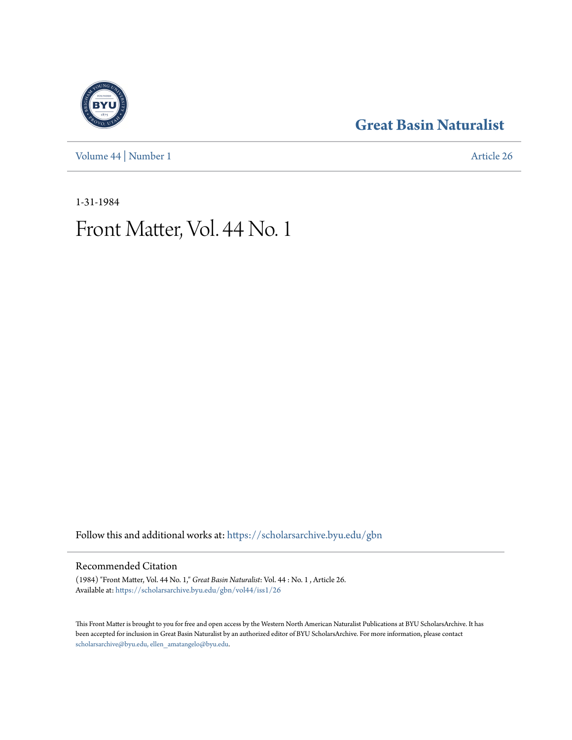[Volume 44](https://scholarsarchive.byu.edu/gbn/vol44?utm_source=scholarsarchive.byu.edu%2Fgbn%2Fvol44%2Fiss1%2F26&utm_medium=PDF&utm_campaign=PDFCoverPages) | [Number 1](https://scholarsarchive.byu.edu/gbn/vol44/iss1?utm_source=scholarsarchive.byu.edu%2Fgbn%2Fvol44%2Fiss1%2F26&utm_medium=PDF&utm_campaign=PDFCoverPages) [Article 26](https://scholarsarchive.byu.edu/gbn/vol44/iss1/26?utm_source=scholarsarchive.byu.edu%2Fgbn%2Fvol44%2Fiss1%2F26&utm_medium=PDF&utm_campaign=PDFCoverPages)

### **[Great Basin Naturalist](https://scholarsarchive.byu.edu/gbn?utm_source=scholarsarchive.byu.edu%2Fgbn%2Fvol44%2Fiss1%2F26&utm_medium=PDF&utm_campaign=PDFCoverPages)**

1-31-1984

## Front Matter, Vol. 44 No. 1

Follow this and additional works at: [https://scholarsarchive.byu.edu/gbn](https://scholarsarchive.byu.edu/gbn?utm_source=scholarsarchive.byu.edu%2Fgbn%2Fvol44%2Fiss1%2F26&utm_medium=PDF&utm_campaign=PDFCoverPages)

#### Recommended Citation

(1984) "Front Matter, Vol. 44 No. 1," *Great Basin Naturalist*: Vol. 44 : No. 1 , Article 26. Available at: [https://scholarsarchive.byu.edu/gbn/vol44/iss1/26](https://scholarsarchive.byu.edu/gbn/vol44/iss1/26?utm_source=scholarsarchive.byu.edu%2Fgbn%2Fvol44%2Fiss1%2F26&utm_medium=PDF&utm_campaign=PDFCoverPages)

This Front Matter is brought to you for free and open access by the Western North American Naturalist Publications at BYU ScholarsArchive. It has been accepted for inclusion in Great Basin Naturalist by an authorized editor of BYU ScholarsArchive. For more information, please contact [scholarsarchive@byu.edu, ellen\\_amatangelo@byu.edu.](mailto:scholarsarchive@byu.edu,%20ellen_amatangelo@byu.edu)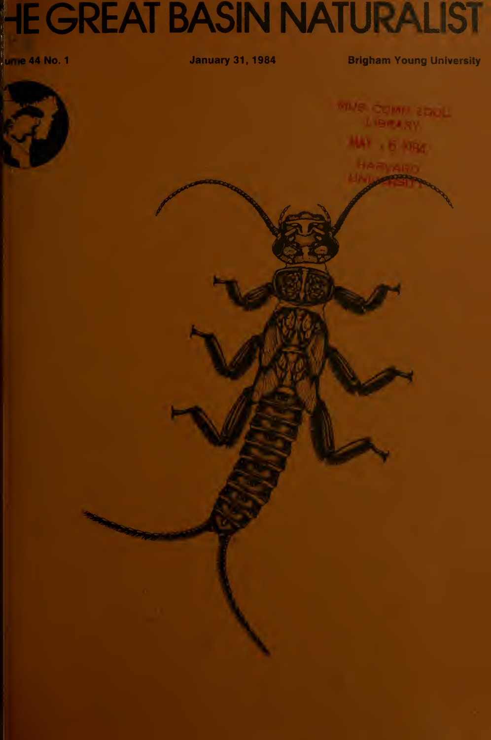# **HE GREAT BASIN NATURALIST**

unie 44 No. 1

**January 31, 1984** 

**Brigham Young University** 

1 + 6 long